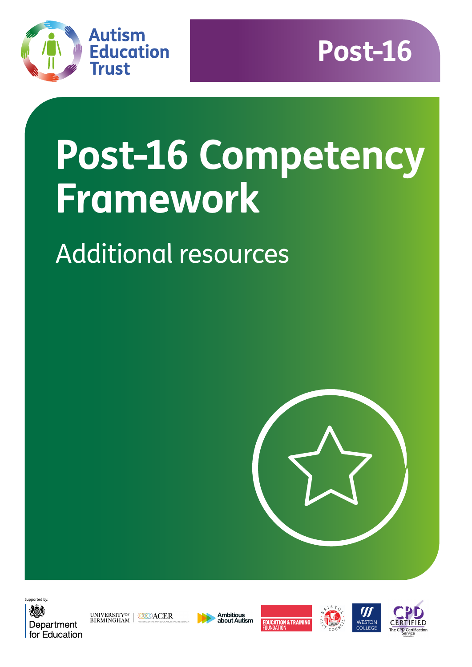



# **Post-16 Competency Framework**

## Additional resources





UNIVERSITY<sup>OF</sup> MODACER<br>BIRMINGHAM









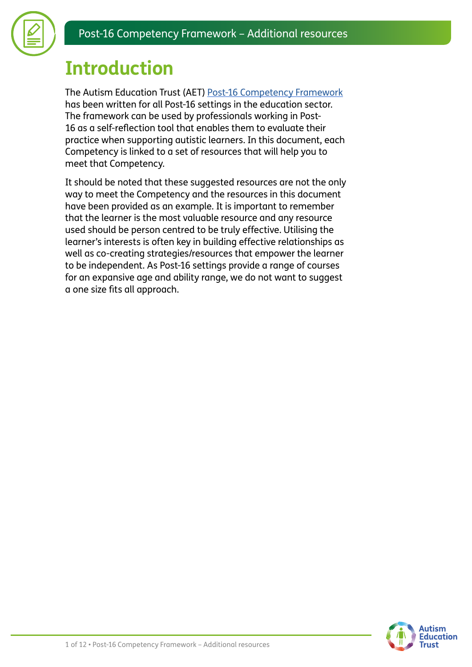

### **Introduction**

The Autism Education Trust (AET) [Post-16 Competency Framework](https://www.autismeducationtrust.org.uk/resources/post-16-competency-framework) has been written for all Post-16 settings in the education sector. The framework can be used by professionals working in Post-16 as a self-reflection tool that enables them to evaluate their practice when supporting autistic learners. In this document, each Competency is linked to a set of resources that will help you to meet that Competency.

It should be noted that these suggested resources are not the only way to meet the Competency and the resources in this document have been provided as an example. It is important to remember that the learner is the most valuable resource and any resource used should be person centred to be truly effective. Utilising the learner's interests is often key in building effective relationships as well as co-creating strategies/resources that empower the learner to be independent. As Post-16 settings provide a range of courses for an expansive age and ability range, we do not want to suggest a one size fits all approach.

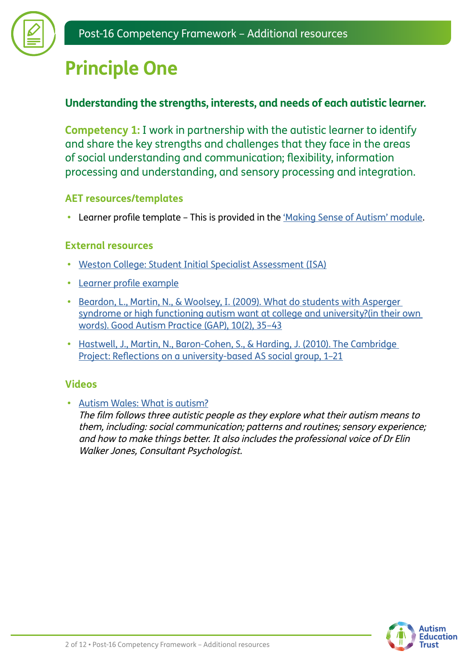

### **Principle One**

#### **Understanding the strengths, interests, and needs of each autistic learner.**

**Competency 1:** I work in partnership with the autistic learner to identify and share the key strengths and challenges that they face in the areas of social understanding and communication; flexibility, information processing and understanding, and sensory processing and integration.

#### **AET resources/templates**

**•** Learner profile template – This is provided in the ['Making Sense of Autism' module.](https://www.autismeducationtrust.org.uk/training-content/post-16-making-sense-autism)

#### **External resources**

- **•** [Weston College: Student Initial Specialist Assessment \(ISA\)](https://www.autismeducationtrust.org.uk/sites/default/files/2022-01/isa-student.docx)
- **•** [Learner](https://www.autismeducationtrust.org.uk/sites/default/files/2022-01/Learner-Profile-Post-16-Example.docx) [profile example](https://www.autismeducationtrust.org.uk/sites/default/files/2022-01/Learner-Profile-Post-16-Example.docx)
- **•** [Beardon, L., Martin, N., & Woolsey, I. \(2009\). What do students with Asperger](https://www.autismeducationtrust.org.uk/sites/default/files/2022-01/beardon-et-al-oct-2009-autistic-perspective.pdf)  [syndrome or high functioning autism want at college and university?\(in their own](https://www.autismeducationtrust.org.uk/sites/default/files/2022-01/beardon-et-al-oct-2009-autistic-perspective.pdf)  [words\). Good Autism Practice \(GAP\), 10\(2\), 35–43](https://www.autismeducationtrust.org.uk/sites/default/files/2022-01/beardon-et-al-oct-2009-autistic-perspective.pdf)
- **•** [Hastwell, J., Martin, N., Baron-Cohen, S., & Harding, J. \(2010\). The Cambridge](https://www.autismeducationtrust.org.uk/sites/default/files/2022-01/the-cambridge-project.pdf)  [Project: Reflections on a university-based AS social group, 1–21](https://www.autismeducationtrust.org.uk/sites/default/files/2022-01/the-cambridge-project.pdf)

#### **Videos**

**•** [Autism Wales: What is autism?](https://autismwales.org/en/i-am-autistic/education/further-education/)

The film follows three autistic people as they explore what their autism means to them, including: social communication; patterns and routines; sensory experience; and how to make things better. It also includes the professional voice of Dr Elin Walker Jones, Consultant Psychologist.

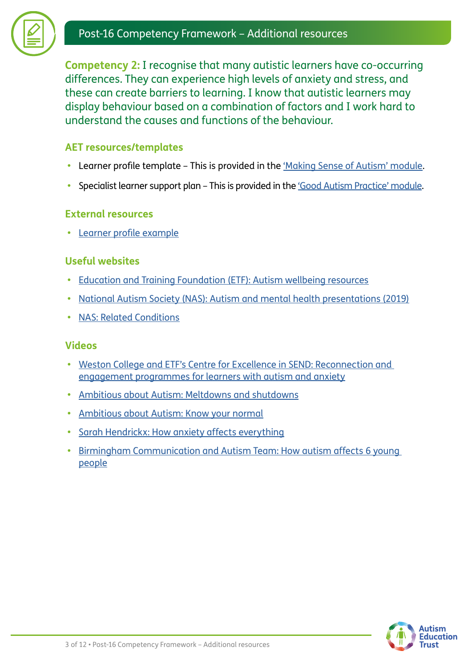



**Competency 2:** I recognise that many autistic learners have co-occurring differences. They can experience high levels of anxiety and stress, and these can create barriers to learning. I know that autistic learners may display behaviour based on a combination of factors and I work hard to understand the causes and functions of the behaviour.

#### **AET resources/templates**

- **•** Learner profile template This is provided in the ['Making Sense of Autism' module.](https://www.autismeducationtrust.org.uk/training-content/post-16-making-sense-autism)
- **•** Specialist learner support plan This is provided in the ['Good Autism Practice' module](https://www.autismeducationtrust.org.uk/training-content/post-16-good-autism-practice).

#### **External resources**

**•** [Learner profile example](https://www.autismeducationtrust.org.uk/sites/default/files/2022-01/Learner-Profile-Post-16-Example.docx)

#### **Useful websites**

- **•** [Education and Training Foundation \(ETF\): Autism wellbeing resources](https://send.excellencegateway.org.uk/autism)
- **•** [National Autism Society \(NAS\): Autism and mental health presentations \(2019\)](https://www.autism.org.uk/what-we-do/professional-development/past-conferences/mental-health-2019-presentations)
- **•** [NAS: Related Conditions](https://www.autism.org.uk/advice-and-guidance/topics/related-conditions/related-conditions/all-audiences)

#### **Videos**

- **•** [Weston College and ETF's Centre for Excellence in SEND: Reconnection and](https://www.youtube.com/watch?v=EKDe1Iqkbog)  [engagement programmes for learners with autism and anxiety](https://www.youtube.com/watch?v=EKDe1Iqkbog)
- **•** [Ambitious about Autism: Meltdowns and shutdowns](https://www.ambitiousaboutautism.org.uk/information-about-autism/behaviour/meltdowns-and-shutdowns)
- **•** [Ambitious about Autism: Know your normal](https://www.ambitiousaboutautism.org.uk/what-we-do/youth-participation/youth-led-toolkits/know-your-normal)
- **•** [Sarah Hendrickx: How anxiety affects everything](https://www.youtube.com/watch?v=rPD_yzMHJls)
- **•** [Birmingham Communication and Autism Team: How autism affects 6 young](https://www.youtube.com/watch?v=8RStb8OIAu0)  [people](https://www.youtube.com/watch?v=8RStb8OIAu0)

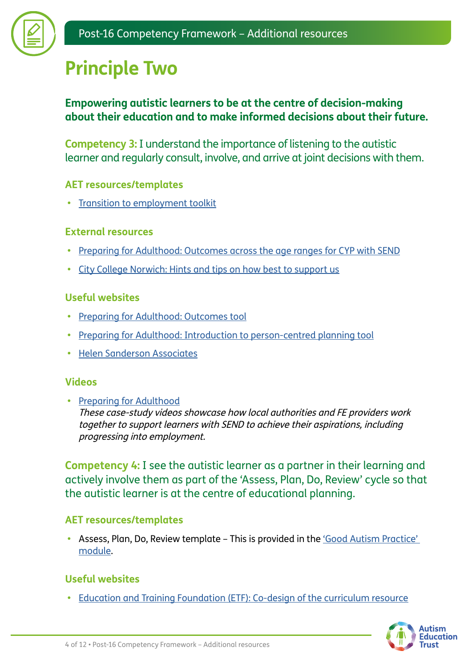

### **Principle Two**

#### **Empowering autistic learners to be at the centre of decision-making about their education and to make informed decisions about their future.**

**Competency 3:** I understand the importance of listening to the autistic learner and regularly consult, involve, and arrive at joint decisions with them.

#### **AET resources/templates**

**•** [Transition to employment toolkit](https://www.autismeducationtrust.org.uk/resources/transition-employment-toolkit)

#### **External resources**

- **•** [Preparing for Adulthood: Outcomes across the age ranges for CYP with SEND](https://www.autismeducationtrust.org.uk/sites/default/files/2022-01/preparing-for-adulthood.pdf)
- **•** [City College Norwich: Hints and tips on how best to support us](https://www.autismeducationtrust.org.uk/sites/default/files/2022-01/hints-and-tips-on-how-best-to-support-us-developed-by-learners-from-city-college-norwich1.pdf)

#### **Useful websites**

- **•** [Preparing for Adulthood: Outcomes tool](https://www.preparingforadulthood.org.uk/downloads/education-health-and-care-planning/pfa-outcomes-tool.htm)
- **•** [Preparing for Adulthood: Introduction to person-centred planning tool](https://www.preparingforadulthood.org.uk/downloads/person-centred-planning/introduction-to-person-centred-planning-tools.htm)
- **•** [Helen Sanderson Associates](https://helensandersonassociates.co.uk/person-centred-practice/person-centred-thinking-tools/)

#### **Videos**

**•** [Preparing for Adulthood](https://www.preparingforadulthood.org.uk/downloads/employment/case-study-making-the-send-reforms-work.htm) These case-study videos showcase how local authorities and FE providers work together to support learners with SEND to achieve their aspirations, including progressing into employment.

**Competency 4:** I see the autistic learner as a partner in their learning and actively involve them as part of the 'Assess, Plan, Do, Review' cycle so that the autistic learner is at the centre of educational planning.

#### **AET resources/templates**

**•** Assess, Plan, Do, Review template – This is provided in the ['Good Autism Practice'](http://www.autismeducationtrust.org.uk/training-content/post-16-good-autism-practice)  [module.](http://www.autismeducationtrust.org.uk/training-content/post-16-good-autism-practice)

#### **Useful websites**

**•** [Education and Training Foundation \(ETF\): Co-design of the curriculum resource](https://send.excellencegateway.org.uk/teaching-and-learning)

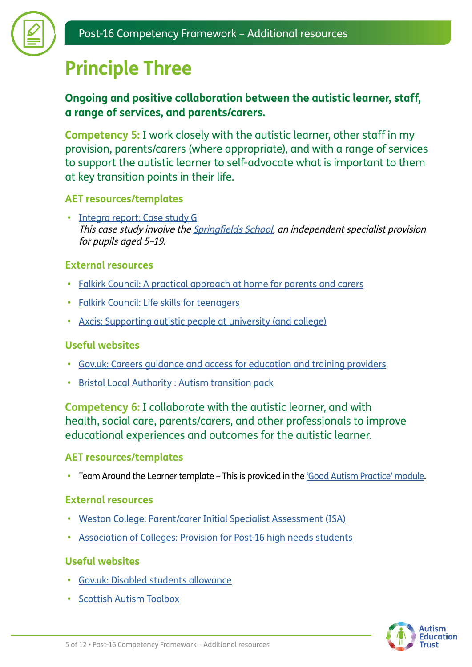

### **Principle Three**

#### **Ongoing and positive collaboration between the autistic learner, staff, a range of services, and parents/carers.**

**Competency 5:** I work closely with the autistic learner, other staff in my provision, parents/carers (where appropriate), and with a range of services to support the autistic learner to self-advocate what is important to them at key transition points in their life.

#### **AET resources/templates**

**•** [Integra report: Case study G](https://www.autismeducationtrust.org.uk/sites/default/files/2022-01/Case-Study-G-Springfields-School.pdf) This case study involve the [Springfields School,](https://www.springfields.wilts.sch.uk) an independent specialist provision for pupils aged 5–19.

#### **External resources**

- **•** [Falkirk Council: A practical approach at home for parents and carers](https://www.falkirk.gov.uk/services/social-care/disabilities/docs/young-people/Autistic%20Spectrum%20Disorder.pdf?v=201906271131)
- **•** [Falkirk Council: Life skills for teenagers](https://www.falkirk.gov.uk/services/social-care/disabilities/docs/young-people/Life%20Skills%20for%20Teenagers.pdf?v=201610191048)
- **•** [Axcis: Supporting autistic people at university \(and college\)](https://www.autismeducationtrust.org.uk/sites/default/files/2022-01/support-at-university1.pdf)

#### **Useful websites**

- **•** [Gov.uk: Careers guidance and access for education and training providers](https://www.gov.uk/government/publications/careers-guidance-provision-for-young-people-in-schools)
- **•** [Bristol Local Authority : Autism transition pack](https://www.bristol.gov.uk/web/bristol-local-offer/professionals/send-autism-support-documents/autism-transition-packs)

**Competency 6:** I collaborate with the autistic learner, and with health, social care, parents/carers, and other professionals to improve educational experiences and outcomes for the autistic learner.

#### **AET resources/templates**

• Team Around the Learner template – This is provided in the ['Good Autism Practice' module.](https://www.autismeducationtrust.org.uk/training-content/post-16-good-autism-practice)

#### **External resources**

- **•** [Weston College: Parent/carer Initial Specialist Assessment \(ISA\)](https://www.autismeducationtrust.org.uk/sites/default/files/2022-01/isa-parent.docx)
- **•** [Association of Colleges: Provision for Post-16 high needs students](https://www.autismeducationtrust.org.uk/sites/default/files/2022-01/provision-for-p16-high-needs-students.pdf)

#### **Useful websites**

- **•** [Gov.uk: Disabled students allowance](https://www.gov.uk/disabled-students-allowance-dsa)
- **•** [Scottish Autism Toolbox](http://www.autismtoolbox.co.uk/post-school)

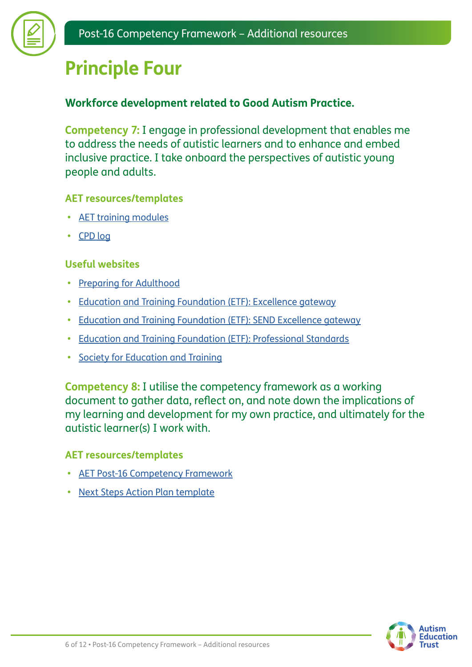

### **Principle Four**

#### **Workforce development related to Good Autism Practice.**

**Competency 7:** I engage in professional development that enables me to address the needs of autistic learners and to enhance and embed inclusive practice. I take onboard the perspectives of autistic young people and adults.

#### **AET resources/templates**

- **•** [AET training modules](https://www.autismeducationtrust.org.uk/training)
- **•** [CPD log](https://www.autismeducationtrust.org.uk/sites/default/files/2022-01/CPD-Log-S%26C.docx)

#### **Useful websites**

- **•** [Preparing for Adulthood](https://www.preparingforadulthood.org.uk/)
- **•** [Education and Training Foundation \(ETF\): Excellence gateway](http://www.excellencegateway.org.uk)
- **•** [Education and Training Foundation \(ETF\): SEND Excellence gateway](https://send.excellencegateway.org.uk/centres-for-excellence)
- **•** [Education and Training Foundation \(ETF\): Professional Standards](https://www.et-foundation.co.uk/supporting/professional-standards/)
- **•** [Society for Education and Training](https://set.et-foundation.co.uk/)

**Competency 8:** I utilise the competency framework as a working document to gather data, reflect on, and note down the implications of my learning and development for my own practice, and ultimately for the autistic learner(s) I work with.

#### **AET resources/templates**

- **•** [AET Post-16 Competency Framework](https://www.autismeducationtrust.org.uk/resources/post-16-competency-framework)
- **[Next Steps Action Plan template](https://www.autismeducationtrust.org.uk/sites/default/files/2022-01/post16-next-steps-action-plan.docx)**

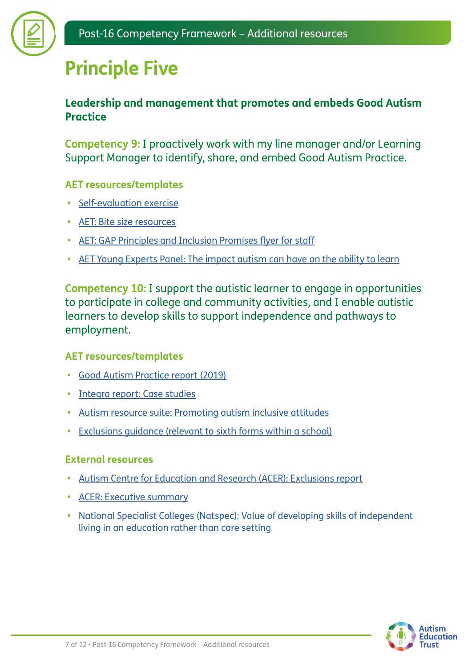## **Principle Five**

#### **Leadership and management that promotes and embeds Good Autism Practice**

**Competency 9:** I proactively work with my line manager and/or Learning Support Manager to identify, share, and embed Good Autism Practice.

#### **AET resources/templates**

- **•** [Self-evaluation exercise](https://www.autismeducationtrust.org.uk/sites/default/files/2022-01/self-evaluation-exercise-1.docx)
- **•** [AET: Bite size resources](https://www.autismeducationtrust.org.uk/site-search?keys=bitesize)
- **•** [AET: GAP Principles and Inclusion Promises flyer for staff](http://www.autismeducationtrust.org.uk/sites/default/files/2022-01/GAP-Principles_Inclusion%20Promises_Post_16_Flyer.pdf)
- **•** [AET Young Experts Panel: The impact autism can have on the ability to learn](https://youtu.be/WoSxT01JAYM)

**Competency 10:** I support the autistic learner to engage in opportunities to participate in college and community activities, and I enable autistic learners to develop skills to support independence and pathways to employment.

#### **AET resources/templates**

- **•** [Good Autism Practice report \(2019\)](https://www.autismeducationtrust.org.uk/resources/good-autism-practice-guidance)
- **•** [Integra report: Case studies](https://www.autismeducationtrust.org.uk/resources/good-autism-practice-guidance)
- **•** [Autism resource suite: Promoting autism inclusive attitudes](https://www.autismeducationtrust.org.uk/resources/autism-resource-suite)
- **•** [Exclusions guidance \(relevant to sixth forms within a school\)](https://www.autismeducationtrust.org.uk/exclusions)

#### **External resources**

- **•** [Autism Centre for Education and Research \(ACER\): Exclusions report](https://www.autismeducationtrust.org.uk/sites/default/files/2022-01/exclusion-research-report_final.pdf)
- **•** [ACER: Executive summary](https://www.autismeducationtrust.org.uk/sites/default/files/2022-01/executive-summary-exclusion-report_final.pdf)
- **•** [National Specialist Colleges \(Natspec\): Value of developing skills of independent](https://www.autismeducationtrust.org.uk/sites/default/files/2022-01/value-of-developing-skills-of-independent-living.pdf)  [living in an education rather than care setting](https://www.autismeducationtrust.org.uk/sites/default/files/2022-01/value-of-developing-skills-of-independent-living.pdf)

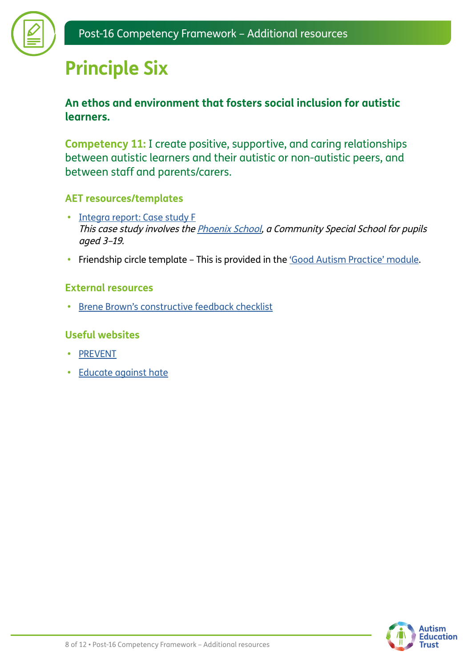### **Principle Six**

#### **An ethos and environment that fosters social inclusion for autistic learners.**

**Competency 11:** I create positive, supportive, and caring relationships between autistic learners and their autistic or non-autistic peers, and between staff and parents/carers.

#### **AET resources/templates**

- **•** [Integra report: Case study F](https://www.autismeducationtrust.org.uk/sites/default/files/2022-01/Case-Study-F-Phoenix-School.pdf) This case study involves the [Phoenix School,](https://www.phoenix.towerhamlets.sch.uk/thamlets/primary/phoenix) a Community Special School for pupils aged 3–19.
- Friendship circle template This is provided in the ['Good Autism Practice' module](https://www.autismeducationtrust.org.uk/training-content/post-16-good-autism-practice).

#### **External resources**

**•** [Brene Brown's constructive feedback checklist](https://www.autismeducationtrust.org.uk/sites/default/files/2022-01/constructive-feedback-checklist-brene-brown.pdf)

#### **Useful websites**

- **•** [PREVENT](https://preventforfeandtraining.org.uk/)
- **•** [Educate against hate](https://educateagainsthate.com/teachers/?gclid=EAIaIQobChMI7_7ukIDB2QIVy7ftCh224wgREAAYASAAEgIP0_D_BwE)

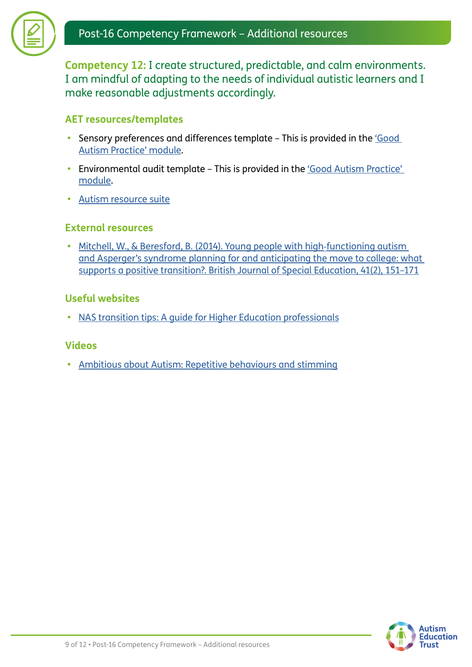**Competency 12:** I create structured, predictable, and calm environments. I am mindful of adapting to the needs of individual autistic learners and I make reasonable adjustments accordingly.

#### **AET resources/templates**

- **•** Sensory preferences and differences template This is provided in the ['Good](https://www.autismeducationtrust.org.uk/training-content/post-16-good-autism-practice)  [Autism Practice' module.](https://www.autismeducationtrust.org.uk/training-content/post-16-good-autism-practice)
- Environmental audit template This is provided in the 'Good Autism Practice' [module.](https://www.autismeducationtrust.org.uk/training-content/post-16-good-autism-practice)
- **•** [Autism resource suite](https://www.autismeducationtrust.org.uk/resources/autism-resource-suite)

#### **External resources**

**•** [Mitchell, W., & Beresford, B. \(2014\). Young people with high](https://linkprotect.cudasvc.com/url?a=https%3a%2f%2feprints.whiterose.ac.uk%2f80103%2f1%2fWMbjse13june2014.pdf&c=E,1,DG6478Nk_sugUQekaBA6zniMn28THnxGOdvJSZctQlDOOEgEjKIXAvJ3wwkCCCdCTXoML4of06XpPkHMvutPNCevU9AmW7vj4rfOuQLhP5BnZuf9&typo=1)‐functioning autism [and Asperger's syndrome planning for and anticipating the move to college: what](https://linkprotect.cudasvc.com/url?a=https%3a%2f%2feprints.whiterose.ac.uk%2f80103%2f1%2fWMbjse13june2014.pdf&c=E,1,DG6478Nk_sugUQekaBA6zniMn28THnxGOdvJSZctQlDOOEgEjKIXAvJ3wwkCCCdCTXoML4of06XpPkHMvutPNCevU9AmW7vj4rfOuQLhP5BnZuf9&typo=1)  [supports a positive transition?. British Journal of Special Education, 41\(2\), 151–171](https://linkprotect.cudasvc.com/url?a=https%3a%2f%2feprints.whiterose.ac.uk%2f80103%2f1%2fWMbjse13june2014.pdf&c=E,1,DG6478Nk_sugUQekaBA6zniMn28THnxGOdvJSZctQlDOOEgEjKIXAvJ3wwkCCCdCTXoML4of06XpPkHMvutPNCevU9AmW7vj4rfOuQLhP5BnZuf9&typo=1)

#### **Useful websites**

**•** [NAS transition tips: A guide for Higher Education professionals](https://www.autism.org.uk/advice-and-guidance/topics/transitions/transition-tips/higher-education-professionals)

#### **Videos**

**•** [Ambitious about Autism: Repetitive behaviours and stimming](https://www.ambitiousaboutautism.org.uk/information-about-autism/behaviour/repetitive-behaviours-and-stimming)

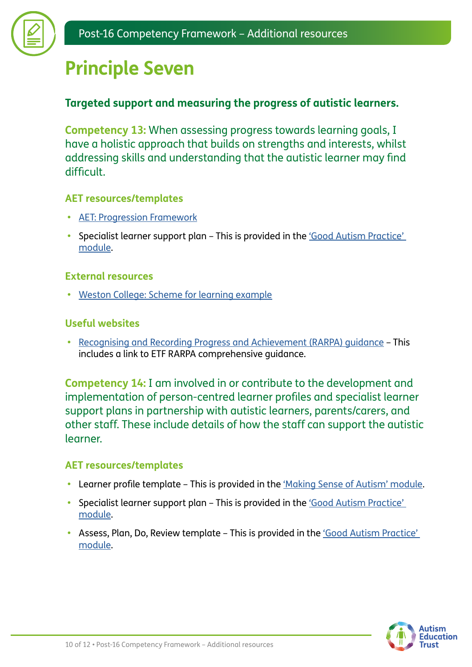

### **Principle Seven**

#### **Targeted support and measuring the progress of autistic learners.**

**Competency 13:** When assessing progress towards learning goals, I have a holistic approach that builds on strengths and interests, whilst addressing skills and understanding that the autistic learner may find difficult.

#### **AET resources/templates**

- **•** [AET: Progression Framework](https://www.autismeducationtrust.org.uk/resources/progression-framework)
- Specialist learner support plan This is provided in the *'Good Autism Practice'* [module.](https://www.autismeducationtrust.org.uk/training-content/post-16-good-autism-practice)

#### **External resources**

**•** [Weston College: Scheme for learning example](https://www.autismeducationtrust.org.uk/sites/default/files/2022-01/scheme-of-learning-weston.docx)

#### **Useful websites**

**•** [Recognising and Recording Progress and Achievement \(RARPA\) guidance](https://send.excellencegateway.org.uk/teaching-and-learning/rarpa) – This includes a link to ETF RARPA comprehensive guidance.

**Competency 14:** I am involved in or contribute to the development and implementation of person-centred learner profiles and specialist learner support plans in partnership with autistic learners, parents/carers, and other staff. These include details of how the staff can support the autistic learner.

#### **AET resources/templates**

- **•** Learner profile template This is provided in the ['Making Sense of Autism' module.](https://www.autismeducationtrust.org.uk/training-content/post-16-making-sense-autism)
- **•** Specialist learner support plan This is provided in the ['Good Autism Practice'](https://www.autismeducationtrust.org.uk/training-content/post-16-good-autism-practice)  [module.](https://www.autismeducationtrust.org.uk/training-content/post-16-good-autism-practice)
- **•** Assess, Plan, Do, Review template This is provided in the ['Good Autism Practice'](http://www.autismeducationtrust.org.uk/training-content/post-16-good-autism-practice)  [module.](http://www.autismeducationtrust.org.uk/training-content/post-16-good-autism-practice)

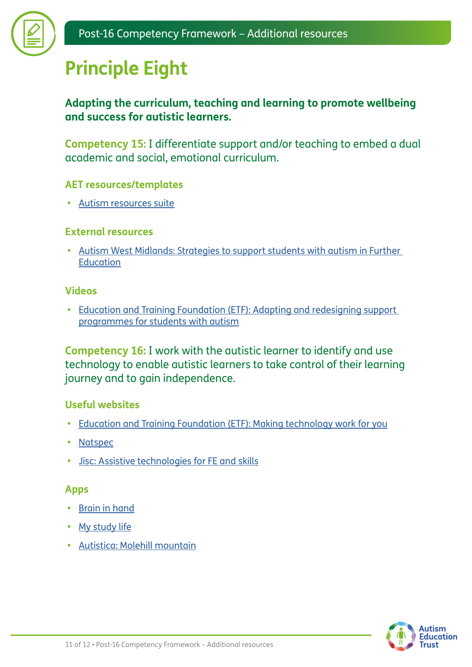

### **Principle Eight**

#### **Adapting the curriculum, teaching and learning to promote wellbeing and success for autistic learners.**

**Competency 15:** I differentiate support and/or teaching to embed a dual academic and social, emotional curriculum.

#### **AET resources/templates**

**•** [Autism resources suite](https://www.autismeducationtrust.org.uk/resources/autism-resource-suite)

#### **External resources**

**•** [Autism West Midlands: Strategies to support students with autism in Further](https://www.autismeducationtrust.org.uk/sites/default/files/2022-01/further_education_strategies_autism_west_midlands.pdf)  [Education](https://www.autismeducationtrust.org.uk/sites/default/files/2022-01/further_education_strategies_autism_west_midlands.pdf)

#### **Videos**

**•** [Education and Training Foundation \(ETF\): Adapting and redesigning support](https://www.youtube.com/watch?v=N-iEnRgINZ4)  [programmes for students with autism](https://www.youtube.com/watch?v=N-iEnRgINZ4)

**Competency 16:** I work with the autistic learner to identify and use technology to enable autistic learners to take control of their learning journey and to gain independence.

#### **Useful websites**

- **•** [Education and Training Foundation \(ETF\): Making technology work for you](https://send.excellencegateway.org.uk/digital-technologies)
- **•** [Natspec](https://natspec.org.uk/services/assistive-technology/)
- **•** [Jisc: Assistive technologies for FE and skills](http://www.jisc.ac.uk/rd/projects/assistive-technology-for-fe-and-skills)

#### **Apps**

- **•** [Brain in hand](https://braininhand.co.uk/)
- **•** [My study life](https://www.mystudylife.com/)
- **•** [Autistica: Molehill mountain](https://www.autistica.org.uk/molehill-mountain)

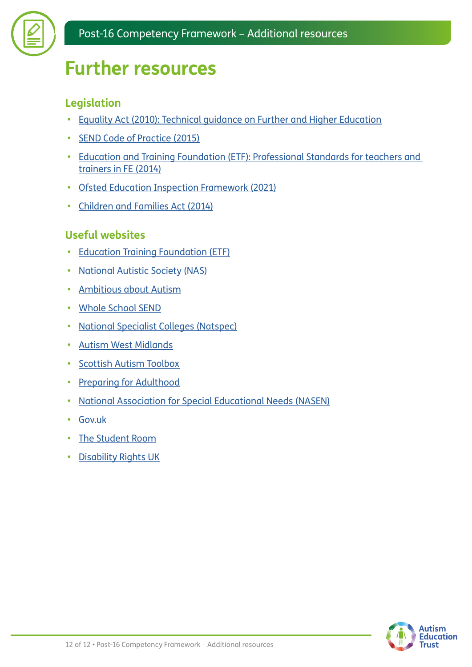

### **Further resources**

### **Legislation**

- **•** [Equality Act \(2010\): Technical guidance on Further and Higher Education](https://www.equalityhumanrights.com/sites/default/files/equalityact2010-technicalguidance-feandhe-2015.pdf)
- **•** [SEND Code of Practice \(2015\)](https://www.gov.uk/government/publications/send-code-of-practice-0-to-25)
- **•** [Education and Training Foundation \(ETF\): Professional Standards for teachers and](https://www.et-foundation.co.uk/wp-content/uploads/2018/07/ETF_Professional_Standards_Framework_Spreads_Web.pdf)  [trainers in FE \(2014\)](https://www.et-foundation.co.uk/wp-content/uploads/2018/07/ETF_Professional_Standards_Framework_Spreads_Web.pdf)
- **•** [Ofsted Education Inspection Framework \(2021\)](https://www.gov.uk/government/publications/education-inspection-framework)
- **•** [Children and Families Act \(2014\)](https://www.legislation.gov.uk/ukpga/2014/6/contents/enacted)

#### **Useful websites**

- **•** [Education Training Foundation \(ETF\)](https://www.et-foundation.co.uk/)
- **•** [National Autistic Society \(NAS\)](https://www.autism.org.uk/?gclid=CjwKCAiAlfqOBhAeEiwAYi43F_SnWgWhzpQtzT7gUUddzAG_rGi2p7ErQ0yboiqg6erxnajujYCfyRoCqtUQAvD_BwE)
- **•** [Ambitious about Autism](https://www.ambitiousaboutautism.org.uk/?gclid=CjwKCAiAlfqOBhAeEiwAYi43F8CUvsbHCUvRGjMJU5rrjv9k9p4Uob4blZMRTtlO6GVSkATdmgqKyxoCzRoQAvD_BwE)
- **•** [Whole School SEND](https://www.sendgateway.org.uk/page/about-whole-school-send-1)
- **•** [National Specialist Colleges \(Natspec\)](https://natspec.org.uk/)
- **•** [Autism West Midlands](https://autismwestmidlands.org.uk/?gclid=CjwKCAiAlfqOBhAeEiwAYi43F5QAWAiMiQxsofEnbFmRSkbks8exRNZpbfovWMjbgFJ9NsAqDD66PBoC5N4QAvD_BwE)
- **•** [Scottish Autism Toolbox](http://www.autismtoolbox.co.uk/post-school)
- **•** [Preparing for Adulthood](https://www.preparingforadulthood.org.uk/)
- **•** [National Association for Special Educational Needs \(NASEN\)](https://nasen.org.uk/?gclid=CjwKCAiAlfqOBhAeEiwAYi43F34Zqm5TYwsHGEkiCvO8szT0z4QpL3bdETTETMTj8wyJKA5CimB5nRoCO10QAvD_BwE)
- **•** [Gov.uk](https://www.gov.uk/children-with-special-educational-needs)
- **•** [The Student Room](https://www.thestudentroom.co.uk/)
- **•** [Disability Rights UK](https://www.disabilityrightsuk.org/)